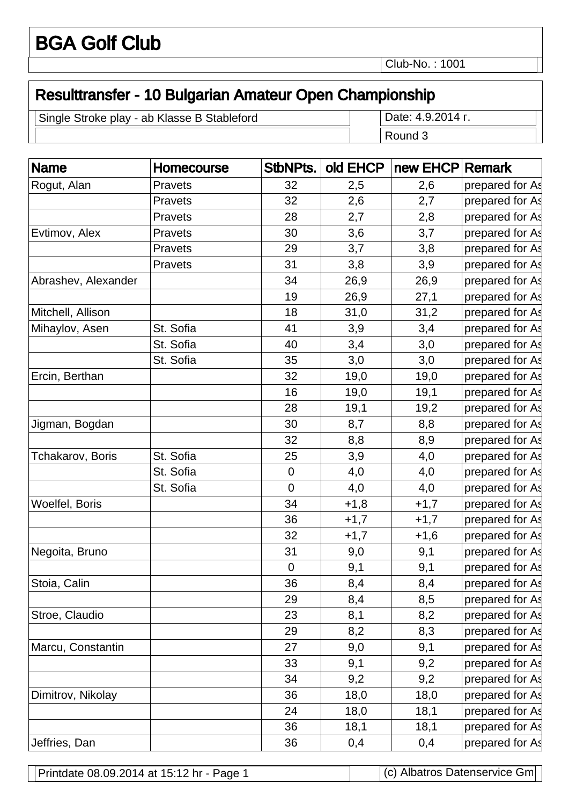Club-No. : 1001

## Resulttransfer - 10 Bulgarian Amateur Open Championship

Single Stroke play - ab Klasse B Stableford Date: 4.9.2014 .

Round 3

| <b>Name</b>         | Homecourse     | StbNPts.         | old EHCP | new EHCP Remark |                 |
|---------------------|----------------|------------------|----------|-----------------|-----------------|
| Rogut, Alan         | Pravets        | 32               | 2,5      | 2,6             | prepared for As |
|                     | Pravets        | 32               | 2,6      | 2,7             | prepared for As |
|                     | Pravets        | 28               | 2,7      | 2,8             | prepared for As |
| Evtimov, Alex       | Pravets        | 30               | 3,6      | 3,7             | prepared for As |
|                     | <b>Pravets</b> | 29               | 3,7      | 3,8             | prepared for As |
|                     | Pravets        | 31               | 3,8      | 3,9             | prepared for As |
| Abrashev, Alexander |                | 34               | 26,9     | 26,9            | prepared for As |
|                     |                | 19               | 26,9     | 27,1            | prepared for As |
| Mitchell, Allison   |                | 18               | 31,0     | 31,2            | prepared for As |
| Mihaylov, Asen      | St. Sofia      | 41               | 3,9      | 3,4             | prepared for As |
|                     | St. Sofia      | 40               | 3,4      | 3,0             | prepared for As |
|                     | St. Sofia      | 35               | 3,0      | 3,0             | prepared for As |
| Ercin, Berthan      |                | 32               | 19,0     | 19,0            | prepared for As |
|                     |                | 16               | 19,0     | 19,1            | prepared for As |
|                     |                | 28               | 19,1     | 19,2            | prepared for As |
| Jigman, Bogdan      |                | 30               | 8,7      | 8,8             | prepared for As |
|                     |                | 32               | 8,8      | 8,9             | prepared for As |
| Tchakarov, Boris    | St. Sofia      | 25               | 3,9      | 4,0             | prepared for As |
|                     | St. Sofia      | $\pmb{0}$        | 4,0      | 4,0             | prepared for As |
|                     | St. Sofia      | $\mathbf 0$      | 4,0      | 4,0             | prepared for As |
| Woelfel, Boris      |                | 34               | $+1,8$   | $+1,7$          | prepared for As |
|                     |                | 36               | $+1,7$   | $+1,7$          | prepared for As |
|                     |                | 32               | $+1,7$   | $+1,6$          | prepared for As |
| Negoita, Bruno      |                | 31               | 9,0      | 9,1             | prepared for As |
|                     |                | $\boldsymbol{0}$ | 9,1      | 9,1             | prepared for As |
| Stoia, Calin        |                | 36               | 8,4      | 8,4             | prepared for As |
|                     |                | 29               | 8,4      | 8,5             | prepared for As |
| Stroe, Claudio      |                | 23               | 8,1      | 8,2             | prepared for As |
|                     |                | 29               | 8,2      | 8,3             | prepared for As |
| Marcu, Constantin   |                | 27               | 9,0      | 9,1             | prepared for As |
|                     |                | 33               | 9,1      | 9,2             | prepared for As |
|                     |                | 34               | 9,2      | 9,2             | prepared for As |
| Dimitrov, Nikolay   |                | 36               | 18,0     | 18,0            | prepared for As |
|                     |                | 24               | 18,0     | 18,1            | prepared for As |
|                     |                | 36               | 18,1     | 18,1            | prepared for As |
| Jeffries, Dan       |                | 36               | 0,4      | 0,4             | prepared for As |

Printdate 08.09.2014 at 15:12 hr - Page 1 (c) Albatros Datenservice Gm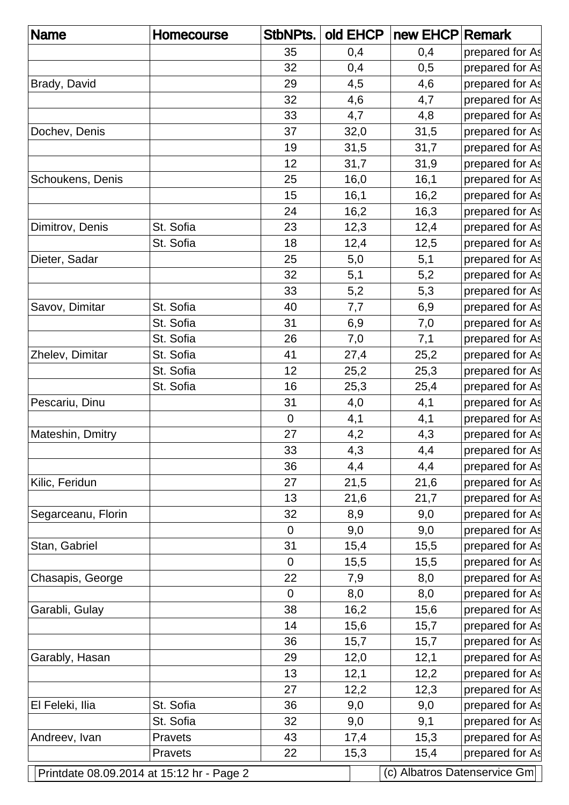| <b>Name</b>        | <b>Homecourse</b>                         | <b>StbNPts.</b> | old EHCP | new EHCP Remark |                              |
|--------------------|-------------------------------------------|-----------------|----------|-----------------|------------------------------|
|                    |                                           | 35              | 0,4      | 0,4             | prepared for As              |
|                    |                                           | 32              | 0,4      | 0,5             | prepared for As              |
| Brady, David       |                                           | 29              | 4,5      | 4,6             | prepared for As              |
|                    |                                           | 32              | 4,6      | 4,7             | prepared for As              |
|                    |                                           | 33              | 4,7      | 4,8             | prepared for As              |
| Dochev, Denis      |                                           | 37              | 32,0     | 31,5            | prepared for As              |
|                    |                                           | 19              | 31,5     | 31,7            | prepared for As              |
|                    |                                           | 12              | 31,7     | 31,9            | prepared for As              |
| Schoukens, Denis   |                                           | 25              | 16,0     | 16,1            | prepared for As              |
|                    |                                           | 15              | 16,1     | 16,2            | prepared for As              |
|                    |                                           | 24              | 16,2     | 16,3            | prepared for As              |
| Dimitrov, Denis    | St. Sofia                                 | 23              | 12,3     | 12,4            | prepared for As              |
|                    | St. Sofia                                 | 18              | 12,4     | 12,5            | prepared for As              |
| Dieter, Sadar      |                                           | 25              | 5,0      | 5,1             | prepared for As              |
|                    |                                           | 32              | 5,1      | 5,2             | prepared for As              |
|                    |                                           | 33              | 5,2      | 5,3             | prepared for As              |
| Savov, Dimitar     | St. Sofia                                 | 40              | 7,7      | 6,9             | prepared for As              |
|                    | St. Sofia                                 | 31              | 6,9      | 7,0             | prepared for As              |
|                    | St. Sofia                                 | 26              | 7,0      | 7,1             | prepared for As              |
| Zhelev, Dimitar    | St. Sofia                                 | 41              | 27,4     | 25,2            | prepared for As              |
|                    | St. Sofia                                 | 12              | 25,2     | 25,3            | prepared for As              |
|                    | St. Sofia                                 | 16              | 25,3     | 25,4            | prepared for As              |
| Pescariu, Dinu     |                                           | 31              | 4,0      | 4,1             | prepared for As              |
|                    |                                           | $\mathbf 0$     | 4,1      | 4,1             | prepared for As              |
| Mateshin, Dmitry   |                                           | 27              | 4,2      | 4,3             | prepared for As              |
|                    |                                           | 33              | 4,3      | 4,4             | prepared for As              |
|                    |                                           | 36              | 4,4      | 4,4             | prepared for As              |
| Kilic, Feridun     |                                           | 27              | 21,5     | 21,6            | prepared for As              |
|                    |                                           | 13              | 21,6     | 21,7            | prepared for As              |
| Segarceanu, Florin |                                           | 32              | 8,9      | 9,0             | prepared for As              |
|                    |                                           | $\mathbf 0$     | 9,0      | 9,0             | prepared for As              |
| Stan, Gabriel      |                                           | 31              | 15,4     | 15,5            | prepared for As              |
|                    |                                           | $\mathbf 0$     | 15,5     | 15,5            | prepared for As              |
| Chasapis, George   |                                           | 22              | 7,9      | 8,0             | prepared for As              |
|                    |                                           | $\overline{0}$  | 8,0      | 8,0             | prepared for As              |
| Garabli, Gulay     |                                           | 38              | 16,2     | 15,6            | prepared for As              |
|                    |                                           | 14              | 15,6     | 15,7            | prepared for As              |
|                    |                                           | 36              | 15,7     | 15,7            | prepared for As              |
| Garably, Hasan     |                                           | 29              | 12,0     | 12,1            | prepared for As              |
|                    |                                           | 13              | 12,1     | 12,2            | prepared for As              |
|                    |                                           | 27              | 12,2     | 12,3            | prepared for As              |
| El Feleki, Ilia    | St. Sofia                                 | 36              | 9,0      | 9,0             | prepared for As              |
|                    | St. Sofia                                 | 32              | 9,0      | 9,1             | prepared for As              |
| Andreev, Ivan      | <b>Pravets</b>                            | 43              | 17,4     | 15,3            | prepared for As              |
|                    | <b>Pravets</b>                            | 22              | 15,3     | 15,4            | prepared for As              |
|                    | Printdate 08.09.2014 at 15:12 hr - Page 2 |                 |          |                 | (c) Albatros Datenservice Gm |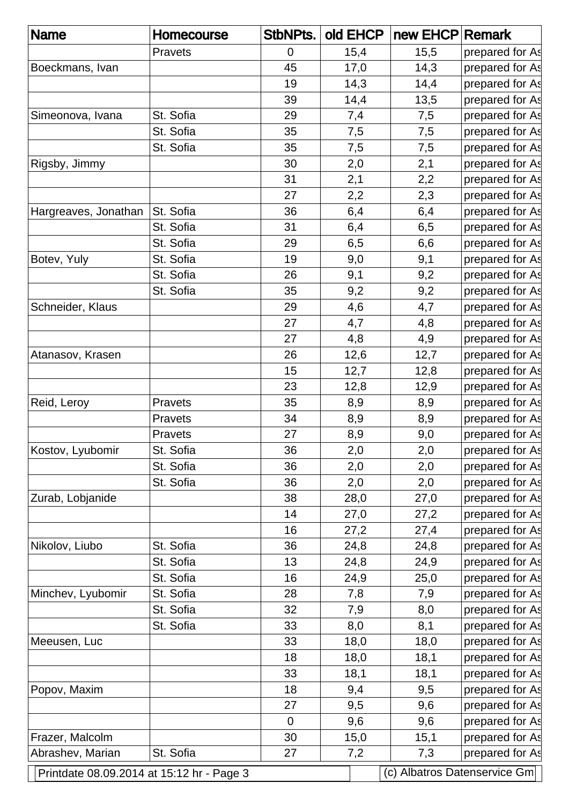| <b>Name</b>          | <b>Homecourse</b>                         | StbNPts.    | old EHCP | new EHCP Remark |                              |
|----------------------|-------------------------------------------|-------------|----------|-----------------|------------------------------|
|                      | <b>Pravets</b>                            | 0           | 15,4     | 15,5            | prepared for As              |
| Boeckmans, Ivan      |                                           | 45          | 17,0     | 14,3            | prepared for As              |
|                      |                                           | 19          | 14,3     | 14,4            | prepared for As              |
|                      |                                           | 39          | 14,4     | 13,5            | prepared for As              |
| Simeonova, Ivana     | St. Sofia                                 | 29          | 7,4      | 7,5             | prepared for As              |
|                      | St. Sofia                                 | 35          | 7,5      | 7,5             | prepared for As              |
|                      | St. Sofia                                 | 35          | 7,5      | 7,5             | prepared for As              |
| Rigsby, Jimmy        |                                           | 30          | 2,0      | 2,1             | prepared for As              |
|                      |                                           | 31          | 2,1      | 2,2             | prepared for As              |
|                      |                                           | 27          | 2,2      | 2,3             | prepared for As              |
| Hargreaves, Jonathan | St. Sofia                                 | 36          | 6,4      | 6,4             | prepared for As              |
|                      | St. Sofia                                 | 31          | 6,4      | 6,5             | prepared for As              |
|                      | St. Sofia                                 | 29          | 6,5      | 6,6             | prepared for As              |
| Botev, Yuly          | St. Sofia                                 | 19          | 9,0      | 9,1             | prepared for As              |
|                      | St. Sofia                                 | 26          | 9,1      | 9,2             | prepared for As              |
|                      | St. Sofia                                 | 35          | 9,2      | 9,2             | prepared for As              |
| Schneider, Klaus     |                                           | 29          | 4,6      | 4,7             | prepared for As              |
|                      |                                           | 27          | 4,7      | 4,8             | prepared for As              |
|                      |                                           | 27          | 4,8      | 4,9             | prepared for As              |
| Atanasov, Krasen     |                                           | 26          | 12,6     | 12,7            | prepared for As              |
|                      |                                           | 15          | 12,7     | 12,8            | prepared for As              |
|                      |                                           | 23          | 12,8     | 12,9            | prepared for As              |
| Reid, Leroy          | Pravets                                   | 35          | 8,9      | 8,9             | prepared for As              |
|                      | <b>Pravets</b>                            | 34          | 8,9      | 8,9             | prepared for As              |
|                      | <b>Pravets</b>                            | 27          | 8,9      | 9,0             | prepared for As              |
| Kostov, Lyubomir     | St. Sofia                                 | 36          | 2,0      | 2,0             | prepared for As              |
|                      | St. Sofia                                 | 36          | 2,0      | 2,0             | prepared for As              |
|                      | St. Sofia                                 | 36          | 2,0      | 2,0             | prepared for As              |
| Zurab, Lobjanide     |                                           | 38          | 28,0     | 27,0            | prepared for As              |
|                      |                                           | 14          | 27,0     | 27,2            | prepared for As              |
|                      |                                           | 16          | 27,2     | 27,4            | prepared for As              |
| Nikolov, Liubo       | St. Sofia                                 | 36          | 24,8     | 24,8            | prepared for As              |
|                      | St. Sofia                                 | 13          | 24,8     | 24,9            | prepared for As              |
|                      | St. Sofia                                 | 16          | 24,9     | 25,0            | prepared for As              |
| Minchev, Lyubomir    | St. Sofia                                 | 28          | 7,8      | 7,9             | prepared for As              |
|                      | St. Sofia                                 | 32          | 7,9      | 8,0             | prepared for As              |
|                      | St. Sofia                                 | 33          | 8,0      | 8,1             | prepared for As              |
| Meeusen, Luc         |                                           | 33          | 18,0     | 18,0            | prepared for As              |
|                      |                                           | 18          | 18,0     | 18,1            | prepared for As              |
|                      |                                           | 33          | 18,1     | 18,1            | prepared for As              |
| Popov, Maxim         |                                           | 18          | 9,4      | 9,5             | prepared for As              |
|                      |                                           | 27          | 9,5      | 9,6             | prepared for As              |
|                      |                                           | $\mathbf 0$ | 9,6      | 9,6             | prepared for As              |
| Frazer, Malcolm      |                                           | 30          | 15,0     | 15,1            | prepared for As              |
| Abrashev, Marian     | St. Sofia                                 | 27          | 7,2      | 7,3             | prepared for As              |
|                      | Printdate 08.09.2014 at 15:12 hr - Page 3 |             |          |                 | (c) Albatros Datenservice Gm |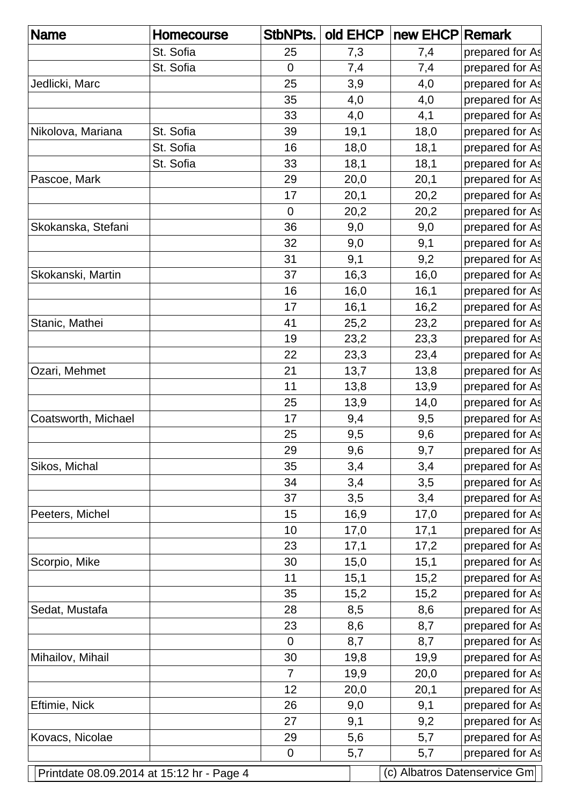| <b>Name</b>                               | Homecourse | StbNPts.       | old EHCP | new EHCP Remark |                              |
|-------------------------------------------|------------|----------------|----------|-----------------|------------------------------|
|                                           | St. Sofia  | 25             | 7,3      | 7,4             | prepared for As              |
|                                           | St. Sofia  | 0              | 7,4      | 7,4             | prepared for As              |
| Jedlicki, Marc                            |            | 25             | 3,9      | 4,0             | prepared for As              |
|                                           |            | 35             | 4,0      | 4,0             | prepared for As              |
|                                           |            | 33             | 4,0      | 4,1             | prepared for As              |
| Nikolova, Mariana                         | St. Sofia  | 39             | 19,1     | 18,0            | prepared for As              |
|                                           | St. Sofia  | 16             | 18,0     | 18,1            | prepared for As              |
|                                           | St. Sofia  | 33             | 18,1     | 18,1            | prepared for As              |
| Pascoe, Mark                              |            | 29             | 20,0     | 20,1            | prepared for As              |
|                                           |            | 17             | 20,1     | 20,2            | prepared for As              |
|                                           |            | $\mathbf 0$    | 20,2     | 20,2            | prepared for As              |
| Skokanska, Stefani                        |            | 36             | 9,0      | 9,0             | prepared for As              |
|                                           |            | 32             | 9,0      | 9,1             | prepared for As              |
|                                           |            | 31             | 9,1      | 9,2             | prepared for As              |
| Skokanski, Martin                         |            | 37             | 16,3     | 16,0            | prepared for As              |
|                                           |            | 16             | 16,0     | 16,1            | prepared for As              |
|                                           |            | 17             | 16,1     | 16,2            | prepared for As              |
| Stanic, Mathei                            |            | 41             | 25,2     | 23,2            | prepared for As              |
|                                           |            | 19             | 23,2     | 23,3            | prepared for As              |
|                                           |            | 22             | 23,3     | 23,4            | prepared for As              |
| Ozari, Mehmet                             |            | 21             | 13,7     | 13,8            | prepared for As              |
|                                           |            | 11             | 13,8     | 13,9            | prepared for As              |
|                                           |            | 25             | 13,9     | 14,0            | prepared for As              |
| Coatsworth, Michael                       |            | 17             | 9,4      | 9,5             | prepared for As              |
|                                           |            | 25             | 9,5      | 9,6             | prepared for As              |
|                                           |            | 29             | 9,6      | 9,7             | prepared for As              |
| Sikos, Michal                             |            | 35             | 3,4      | 3,4             | prepared for As              |
|                                           |            | 34             | 3,4      | 3,5             | prepared for As              |
|                                           |            | 37             | 3,5      | 3,4             | prepared for As              |
| Peeters, Michel                           |            | 15             | 16,9     | 17,0            | prepared for As              |
|                                           |            | 10             | 17,0     | 17,1            | prepared for As              |
|                                           |            | 23             | 17,1     | 17,2            | prepared for As              |
| Scorpio, Mike                             |            | 30             | 15,0     | 15,1            | prepared for As              |
|                                           |            | 11             | 15,1     | 15,2            | prepared for As              |
|                                           |            | 35             | 15,2     | 15,2            | prepared for As              |
| Sedat, Mustafa                            |            | 28             | 8,5      | 8,6             | prepared for As              |
|                                           |            | 23             | 8,6      | 8,7             | prepared for As              |
|                                           |            | $\mathbf 0$    | 8,7      | 8,7             | prepared for As              |
| Mihailov, Mihail                          |            | 30             | 19,8     | 19,9            | prepared for As              |
|                                           |            | $\overline{7}$ | 19,9     | 20,0            | prepared for As              |
|                                           |            | 12             | 20,0     | 20,1            | prepared for As              |
| Eftimie, Nick                             |            | 26             | 9,0      | 9,1             | prepared for As              |
|                                           |            | 27             | 9,1      | 9,2             | prepared for As              |
| Kovacs, Nicolae                           |            | 29             | 5,6      | 5,7             | prepared for As              |
|                                           |            | $\mathbf 0$    | 5,7      | 5,7             | prepared for As              |
| Printdate 08.09.2014 at 15:12 hr - Page 4 |            |                |          |                 | (c) Albatros Datenservice Gm |
|                                           |            |                |          |                 |                              |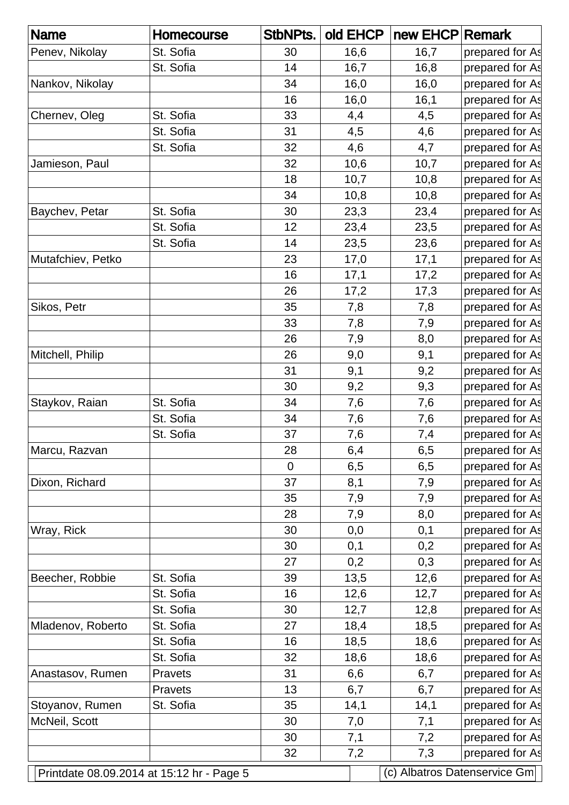| <b>Name</b>       | Homecourse                                | <b>StbNPts.</b> | old EHCP | new EHCP Remark |                              |
|-------------------|-------------------------------------------|-----------------|----------|-----------------|------------------------------|
| Penev, Nikolay    | St. Sofia                                 | 30              | 16,6     | 16,7            | prepared for As              |
|                   | St. Sofia                                 | 14              | 16,7     | 16,8            | prepared for As              |
| Nankov, Nikolay   |                                           | 34              | 16,0     | 16,0            | prepared for As              |
|                   |                                           | 16              | 16,0     | 16,1            | prepared for As              |
| Chernev, Oleg     | St. Sofia                                 | 33              | 4,4      | 4,5             | prepared for As              |
|                   | St. Sofia                                 | 31              | 4,5      | 4,6             | prepared for As              |
|                   | St. Sofia                                 | 32              | 4,6      | 4,7             | prepared for As              |
| Jamieson, Paul    |                                           | 32              | 10,6     | 10,7            | prepared for As              |
|                   |                                           | 18              | 10,7     | 10,8            | prepared for As              |
|                   |                                           | 34              | 10,8     | 10,8            | prepared for As              |
| Baychev, Petar    | St. Sofia                                 | 30              | 23,3     | 23,4            | prepared for As              |
|                   | St. Sofia                                 | 12              | 23,4     | 23,5            | prepared for As              |
|                   | St. Sofia                                 | 14              | 23,5     | 23,6            | prepared for As              |
| Mutafchiev, Petko |                                           | 23              | 17,0     | 17,1            | prepared for As              |
|                   |                                           | 16              | 17,1     | 17,2            | prepared for As              |
|                   |                                           | 26              | 17,2     | 17,3            | prepared for As              |
| Sikos, Petr       |                                           | 35              | 7,8      | 7,8             | prepared for As              |
|                   |                                           | 33              | 7,8      | 7,9             | prepared for As              |
|                   |                                           | 26              | 7,9      | 8,0             | prepared for As              |
| Mitchell, Philip  |                                           | 26              | 9,0      | 9,1             | prepared for As              |
|                   |                                           | 31              | 9,1      | 9,2             | prepared for As              |
|                   |                                           | 30              | 9,2      | 9,3             | prepared for As              |
| Staykov, Raian    | St. Sofia                                 | 34              | 7,6      | 7,6             | prepared for As              |
|                   | St. Sofia                                 | 34              | 7,6      | 7,6             | prepared for As              |
|                   | St. Sofia                                 | 37              | 7,6      | 7,4             | prepared for As              |
| Marcu, Razvan     |                                           | 28              | 6,4      | 6,5             | prepared for As              |
|                   |                                           | $\overline{0}$  | 6,5      | 6,5             | prepared for As              |
| Dixon, Richard    |                                           | 37              | 8,1      | 7,9             | prepared for As              |
|                   |                                           | 35              | 7,9      | 7,9             | prepared for As              |
|                   |                                           | 28              | 7,9      | 8,0             | prepared for As              |
| Wray, Rick        |                                           | 30              | 0,0      | 0,1             | prepared for As              |
|                   |                                           | 30              | 0,1      | 0,2             | prepared for As              |
|                   |                                           | 27              | 0,2      | 0,3             | prepared for As              |
| Beecher, Robbie   | St. Sofia                                 | 39              | 13,5     | 12,6            | prepared for As              |
|                   | St. Sofia                                 | 16              | 12,6     | 12,7            | prepared for As              |
|                   | St. Sofia                                 | 30              | 12,7     | 12,8            | prepared for As              |
| Mladenov, Roberto | St. Sofia                                 | 27              | 18,4     | 18,5            | prepared for As              |
|                   | St. Sofia                                 | 16              | 18,5     | 18,6            | prepared for As              |
|                   | St. Sofia                                 | 32              | 18,6     | 18,6            | prepared for As              |
| Anastasov, Rumen  | Pravets                                   | 31              | 6,6      | 6,7             | prepared for As              |
|                   | Pravets                                   | 13              | 6,7      | 6,7             | prepared for As              |
| Stoyanov, Rumen   | St. Sofia                                 | 35              | 14,1     | 14,1            | prepared for As              |
| McNeil, Scott     |                                           | 30              | 7,0      | 7,1             | prepared for As              |
|                   |                                           | 30              | 7,1      | 7,2             | prepared for As              |
|                   |                                           | 32              | 7,2      | 7,3             | prepared for As              |
|                   | Printdate 08.09.2014 at 15:12 hr - Page 5 |                 |          |                 | (c) Albatros Datenservice Gm |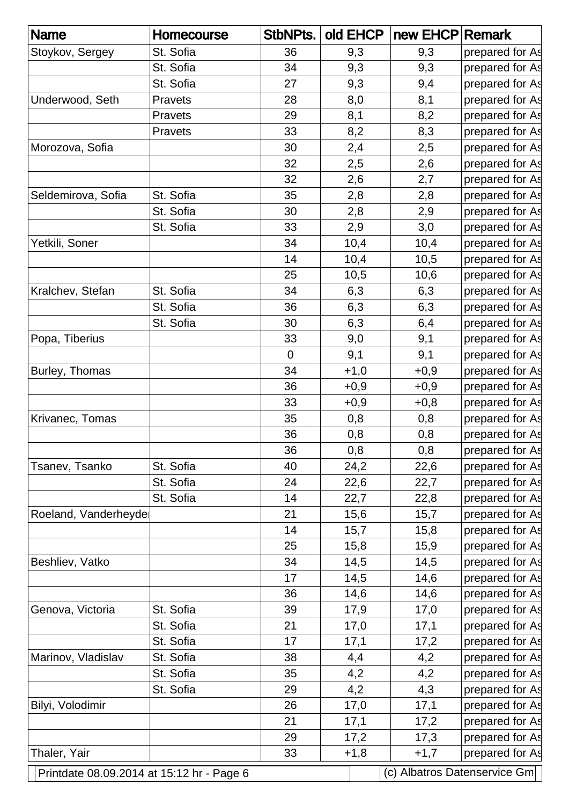| <b>Name</b>                               | <b>Homecourse</b> | StbNPts.       | old EHCP | new EHCP Remark |                              |
|-------------------------------------------|-------------------|----------------|----------|-----------------|------------------------------|
| Stoykov, Sergey                           | St. Sofia         | 36             | 9,3      | 9,3             | prepared for As              |
|                                           | St. Sofia         | 34             | 9,3      | 9,3             | prepared for As              |
|                                           | St. Sofia         | 27             | 9,3      | 9,4             | prepared for As              |
| Underwood, Seth                           | <b>Pravets</b>    | 28             | 8,0      | 8,1             | prepared for As              |
|                                           | <b>Pravets</b>    | 29             | 8,1      | 8,2             | prepared for As              |
|                                           | Pravets           | 33             | 8,2      | 8,3             | prepared for As              |
| Morozova, Sofia                           |                   | 30             | 2,4      | 2,5             | prepared for As              |
|                                           |                   | 32             | 2,5      | 2,6             | prepared for As              |
|                                           |                   | 32             | 2,6      | 2,7             | prepared for As              |
| Seldemirova, Sofia                        | St. Sofia         | 35             | 2,8      | 2,8             | prepared for As              |
|                                           | St. Sofia         | 30             | 2,8      | 2,9             | prepared for As              |
|                                           | St. Sofia         | 33             | 2,9      | 3,0             | prepared for As              |
| Yetkili, Soner                            |                   | 34             | 10,4     | 10,4            | prepared for As              |
|                                           |                   | 14             | 10,4     | 10,5            | prepared for As              |
|                                           |                   | 25             | 10,5     | 10,6            | prepared for As              |
| Kralchev, Stefan                          | St. Sofia         | 34             | 6,3      | 6,3             | prepared for As              |
|                                           | St. Sofia         | 36             | 6,3      | 6,3             | prepared for As              |
|                                           | St. Sofia         | 30             | 6,3      | 6,4             | prepared for As              |
| Popa, Tiberius                            |                   | 33             | 9,0      | 9,1             | prepared for As              |
|                                           |                   | $\overline{0}$ | 9,1      | 9,1             | prepared for As              |
| Burley, Thomas                            |                   | 34             | $+1,0$   | $+0,9$          | prepared for As              |
|                                           |                   | 36             | $+0,9$   | $+0,9$          | prepared for As              |
|                                           |                   | 33             | $+0,9$   | $+0,8$          | prepared for As              |
| Krivanec, Tomas                           |                   | 35             | 0,8      | 0,8             | prepared for As              |
|                                           |                   | 36             | 0,8      | 0,8             | prepared for As              |
|                                           |                   | 36             | 0,8      | 0,8             | prepared for As              |
| Tsanev, Tsanko                            | St. Sofia         | 40             | 24,2     | 22,6            | prepared for As              |
|                                           | St. Sofia         | 24             | 22,6     | 22,7            | prepared for As              |
|                                           | St. Sofia         | 14             | 22,7     | 22,8            | prepared for As              |
| Roeland, Vanderheyde                      |                   | 21             | 15,6     | 15,7            | prepared for As              |
|                                           |                   | 14             | 15,7     | 15,8            | prepared for As              |
|                                           |                   | 25             | 15,8     | 15,9            | prepared for As              |
| Beshliev, Vatko                           |                   | 34             | 14,5     | 14,5            | prepared for As              |
|                                           |                   | 17             | 14,5     | 14,6            | prepared for As              |
|                                           |                   | 36             | 14,6     | 14,6            | prepared for As              |
| Genova, Victoria                          | St. Sofia         | 39             | 17,9     | 17,0            | prepared for As              |
|                                           | St. Sofia         | 21             | 17,0     | 17,1            | prepared for As              |
|                                           | St. Sofia         | 17             | 17,1     | 17,2            | prepared for As              |
| Marinov, Vladislav                        | St. Sofia         | 38             | 4,4      | 4,2             | prepared for As              |
|                                           | St. Sofia         | 35             | 4,2      | 4,2             | prepared for As              |
|                                           | St. Sofia         | 29             | 4,2      | 4,3             | prepared for As              |
| Bilyi, Volodimir                          |                   | 26             | 17,0     | 17,1            | prepared for As              |
|                                           |                   | 21             | 17,1     | 17,2            | prepared for As              |
|                                           |                   | 29             | 17,2     | 17,3            | prepared for As              |
| Thaler, Yair                              |                   | 33             | $+1,8$   | $+1,7$          | prepared for As              |
| Printdate 08.09.2014 at 15:12 hr - Page 6 |                   |                |          |                 | (c) Albatros Datenservice Gm |